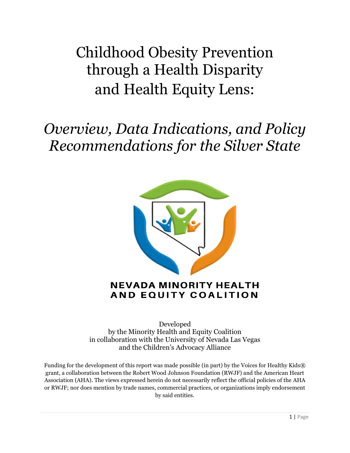Childhood Obesity Prevention through a Health Disparity and Health Equity Lens:

# *Overview, Data Indications, and Policy Recommendations for the Silver State*



# **NEVADA MINORITY HEALTH AND EQUITY COALITION**

Developed by the Minority Health and Equity Coalition in collaboration with the University of Nevada Las Vegas and the Children's Advocacy Alliance

Funding for the development of this report was made possible (in part) by the Voices for Healthy Kids® grant, a collaboration between the Robert Wood Johnson Foundation (RWJF) and the American Heart Association (AHA). The views expressed herein do not necessarily reflect the official policies of the AHA or RWJF; nor does mention by trade names, commercial practices, or organizations imply endorsement by said entities.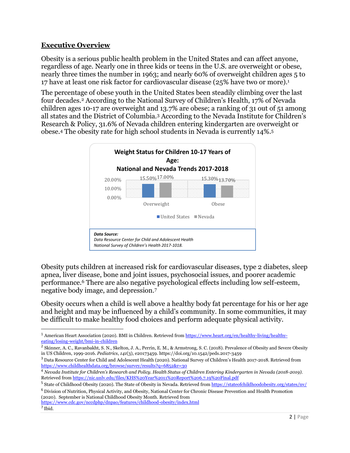#### **Executive Overview**

Obesity is a serious public health problem in the United States and can affect anyone, regardless of age. Nearly one in three kids or teens in the U.S. are overweight or obese, nearly three times the number in 1963; and nearly 60% of overweight children ages 5 to 17 have at least one risk factor for cardiovascular disease (25% have two or more).<sup>1</sup>

The percentage of obese youth in the United States been steadily climbing over the last four decades.<sup>2</sup> According to the National Survey of Children's Health, 17% of Nevada children ages 10-17 are overweight and 13.7% are obese; a ranking of 31 out of 51 among all states and the District of Columbia.<sup>3</sup> According to the Nevada Institute for Children's Research & Policy, 31.6% of Nevada children entering kindergarten are overweight or obese.<sup>4</sup> The obesity rate for high school students in Nevada is currently 14%. 5



Obesity puts children at increased risk for cardiovascular diseases, type 2 diabetes, sleep apnea, liver disease, bone and joint issues, psychosocial issues, and poorer academic performance.<sup>6</sup> There are also negative psychological effects including low self-esteem, negative body image, and depression.<sup>7</sup>

Obesity occurs when a child is well above a healthy body fat percentage for his or her age and height and may be influenced by a child's community. In some communities, it may be difficult to make healthy food choices and perform adequate physical activity.

<sup>5</sup> State of Childhood Obesity (2020). The State of Obesity in Nevada. Retrieved fro[m https://stateofchildhoodobesity.org/states/nv/](https://stateofchildhoodobesity.org/states/nv/)

<https://www.cdc.gov/nccdphp/dnpao/features/childhood-obesity/index.html>

<sup>1</sup> American Heart Association (2020). BMI in Children. Retrieved fro[m https://www.heart.org/en/healthy-living/healthy](https://www.heart.org/en/healthy-living/healthy-eating/losing-weight/bmi-in-children)[eating/losing-weight/bmi-in-children](https://www.heart.org/en/healthy-living/healthy-eating/losing-weight/bmi-in-children)

<sup>&</sup>lt;sup>2</sup> Skinner, A. C., Ravanbakht, S. N., Skelton, J. A., Perrin, E. M., & Armstrong, S. C. (2018). Prevalence of Obesity and Severe Obesity in US Children, 1999-2016. *Pediatrics*, *141*(3), e20173459. https://doi.org/10.1542/peds.2017-3459

<sup>3</sup> Data Resource Center for Child and Adolescent Health (2020). National Survey of Children's Health 2017-2018. Retrieved fro[m](about:blank)  [https://www.childhealthdata.org/browse/survey/results?q=6852&r=30](about:blank) 

<sup>4</sup> *Nevada Institute for Children's Research and Policy. Health Status of Children Entering Kindergarten in Nevada (2018-2019).*  Retrieved fro[m https://nic.unlv.edu/files/KHS%20Year%2011%20Report%206.7.19%20Final.pdf](https://nic.unlv.edu/files/KHS%20Year%2011%20Report%206.7.19%20Final.pdf)

<sup>6</sup> [Division of Nutrition, Physical Activity, and Obesity,](https://www.cdc.gov/nccdphp/dnpao/index.html) [National Center for Chronic Disease Prevention and Health Promotion](http://www.cdc.gov/chronicdisease)  (2020). September is National Childhood Obesity Month. Retrieved from

<sup>7</sup> Ibid.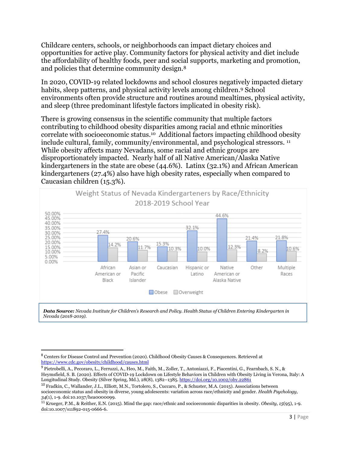Childcare centers, schools, or neighborhoods can impact dietary choices and opportunities for active play. Community factors for physical activity and diet include the affordability of healthy foods, peer and social supports, marketing and promotion, and policies that determine community design.<sup>8</sup>

In 2020, COVID-19 related lockdowns and school closures negatively impacted dietary habits, sleep patterns, and physical activity levels among children. <sup>9</sup> School environments often provide structure and routines around mealtimes, physical activity, and sleep (three predominant lifestyle factors implicated in obesity risk).

There is growing consensus in the scientific community that multiple factors contributing to childhood obesity disparities among racial and ethnic minorities correlate with socioeconomic status.10 Additional factors impacting childhood obesity include cultural, family, community/environmental, and psychological stressors. <sup>11</sup> While obesity affects many Nevadans, some racial and ethnic groups are disproportionately impacted. Nearly half of all Native American/Alaska Native kindergarteners in the state are obese (44.6%). Latinx (32.1%) and African American kindergarteners (27.4%) also have high obesity rates, especially when compared to Caucasian children (15.3%).



<sup>8</sup> Centers for Disease Control and Prevention (2020). Childhood Obesity Causes & Consequences. Retrieved at <https://www.cdc.gov/obesity/childhood/causes.html>

<sup>9</sup> Pietrobelli, A., Pecoraro, L., Ferruzzi, A., Heo, M., Faith, M., Zoller, T., Antoniazzi, F., Piacentini, G., Fearnbach, S. N., & Heymsfield, S. B. (2020). Effects of COVID-19 Lockdown on Lifestyle Behaviors in Children with Obesity Living in Verona, Italy: A Longitudinal Study. Obesity (Silver Spring, Md.), 28(8), 1382–1385. [https://doi.org/10.1002/oby.22861](https://www.google.com/url?q=https://doi.org/10.1002/oby.22861&sa=D&ust=1602695159573000&usg=AFQjCNFfnh1bY6AmKNTBxaCgnOZkhJEzCQ)

<sup>&</sup>lt;sup>10</sup> Fradkin, C., Wallander, J.L., Elliott, M.N., Tortolero, S., Cuccaro, P., & Schuster, M.A. (2015). Associations between socioeconomic status and obesity in diverse, young adolescents: variation across race/ethnicity and gender. *Health Psychology, 34*(1), 1-9. doi:10.1037/hea0000099.

<sup>11</sup> Krueger, P.M., & Reither, E.N. (2015). Mind the gap: race/ethnic and socioeconomic disparities in obesity. *Obesity, 15*(95), 1-9. doi:10.1007/s11892-015-0666-6.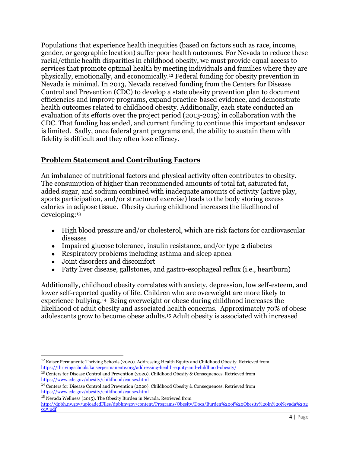Populations that experience health inequities (based on factors such as race, income, gender, or geographic location) suffer poor health outcomes. For Nevada to reduce these racial/ethnic health disparities in childhood obesity, we must provide equal access to services that promote optimal health by meeting individuals and families where they are physically, emotionally, and economically.<sup>12</sup> Federal funding for obesity prevention in Nevada is minimal. In 2013, Nevada received funding from the Centers for Disease Control and Prevention (CDC) to develop a state obesity prevention plan to document efficiencies and improve programs, expand practice-based evidence, and demonstrate health outcomes related to childhood obesity. Additionally, each state conducted an evaluation of its efforts over the project period (2013-2015) in collaboration with the CDC. That funding has ended, and current funding to continue this important endeavor is limited. Sadly, once federal grant programs end, the ability to sustain them with fidelity is difficult and they often lose efficacy.

#### **Problem Statement and Contributing Factors**

An imbalance of nutritional factors and physical activity often contributes to obesity. The consumption of higher than recommended amounts of total fat, saturated fat, added sugar, and sodium combined with inadequate amounts of activity (active play, sports participation, and/or structured exercise) leads to the body storing excess calories in adipose tissue. Obesity during childhood increases the likelihood of developing: 13

- High blood pressure and/or cholesterol, which are risk factors for cardiovascular diseases
- Impaired glucose tolerance, insulin resistance, and/or type 2 diabetes
- Respiratory problems including asthma and sleep apnea
- Joint disorders and discomfort
- Fatty liver disease, gallstones, and gastro-esophageal reflux (i.e., heartburn)

Additionally, childhood obesity correlates with anxiety, depression, low self-esteem, and lower self-reported quality of life. Children who are overweight are more likely to experience bullying.14 Being overweight or obese during childhood increases the likelihood of adult obesity and associated health concerns. Approximately 70% of obese adolescents grow to become obese adults.<sup>15</sup> Adult obesity is associated with increased

<sup>12</sup> Kaiser Permanente Thriving Schools (2020). Addressing Health Equity and Childhood Obesity. Retrieved from <https://thrivingschools.kaiserpermanente.org/addressing-health-equity-and-childhood-obesity/>

<sup>13</sup> Centers for Disease Control and Prevention (2020). Childhood Obesity & Consequences. Retrieved from <https://www.cdc.gov/obesity/childhood/causes.html>

<sup>14</sup> Centers for Disease Control and Prevention (2020). Childhood Obesity & Consequences. Retrieved from <https://www.cdc.gov/obesity/childhood/causes.html>

<sup>15</sup> Nevada Wellness (2015). The Obesity Burden in Nevada. Retrieved from

[http://dpbh.nv.gov/uploadedFiles/dpbhnvgov/content/Programs/Obesity/Docs/Burden%20of%20Obesity%20in%20Nevada%202](http://dpbh.nv.gov/uploadedFiles/dpbhnvgov/content/Programs/Obesity/Docs/Burden%20of%20Obesity%20in%20Nevada%202015.pdf) [015.pdf](http://dpbh.nv.gov/uploadedFiles/dpbhnvgov/content/Programs/Obesity/Docs/Burden%20of%20Obesity%20in%20Nevada%202015.pdf)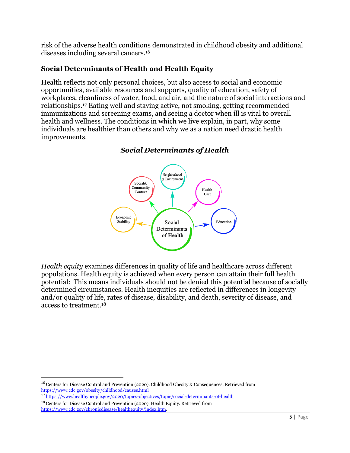risk of the adverse health conditions demonstrated in childhood obesity and additional diseases including several cancers. 16

#### **Social Determinants of Health and Health Equity**

Health reflects not only personal choices, but also access to social and economic opportunities, available resources and supports, quality of education, safety of workplaces, cleanliness of water, food, and air, and the nature of social interactions and relationships.<sup>17</sup> Eating well and staying active, not smoking, getting recommended immunizations and screening exams, and seeing a doctor when ill is vital to overall health and wellness. The conditions in which we live explain, in part, why some individuals are healthier than others and why we as a nation need drastic health improvements.



## *Social Determinants of Health*

*Health equity* examines differences in quality of life and healthcare across different populations. Health equity is achieved when every person can attain their full health potential: This means individuals should not be denied this potential because of socially determined circumstances. Health inequities are reflected in differences in longevity and/or quality of life, rates of disease, disability, and death, severity of disease, and access to treatment.<sup>18</sup>

<sup>16</sup> Centers for Disease Control and Prevention (2020). Childhood Obesity & Consequences. Retrieved from <https://www.cdc.gov/obesity/childhood/causes.html>

<sup>17</sup> <https://www.healthypeople.gov/2020/topics-objectives/topic/social-determinants-of-health> <sup>18</sup> Centers for Disease Control and Prevention (2020). Health Equity. Retrieved from [https://www.cdc.gov/chronicdisease/healthequity/index.htm.](https://www.cdc.gov/chronicdisease/healthequity/index.htm)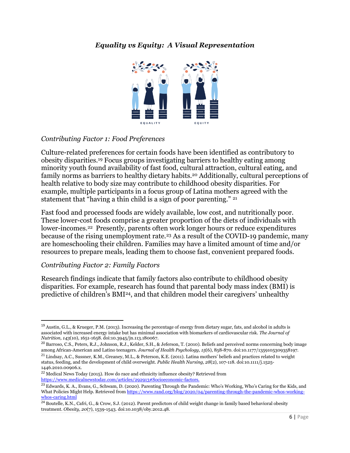## *Equality vs Equity: A Visual Representation*



#### *Contributing Factor 1: Food Preferences*

Culture-related preferences for certain foods have been identified as contributory to obesity disparities.<sup>19</sup> Focus groups investigating barriers to healthy eating among minority youth found availability of fast food, cultural attraction, cultural eating, and family norms as barriers to healthy dietary habits.<sup>20</sup> Additionally, cultural perceptions of health relative to body size may contribute to childhood obesity disparities. For example, multiple participants in a focus group of Latina mothers agreed with the statement that "having a thin child is a sign of poor parenting." <sup>21</sup>

Fast food and processed foods are widely available, low cost, and nutritionally poor. These lower-cost foods comprise a greater proportion of the diets of individuals with lower-incomes. <sup>22</sup> Presently, parents often work longer hours or reduce expenditures because of the rising unemployment rate.<sup>23</sup> As a result of the COVID-19 pandemic, many are homeschooling their children. Families may have a limited amount of time and/or resources to prepare meals, leading them to choose fast, convenient prepared foods.

#### *Contributing Factor 2: Family Factors*

Research findings indicate that family factors also contribute to childhood obesity disparities. For example, research has found that parental body mass index (BMI) is predictive of children's BMI24, and that children model their caregivers' unhealthy

<sup>19</sup> Austin, G.L., & Krueger, P.M. (2013). Increasing the percentage of energy from dietary sugar, fats, and alcohol in adults is associated with increased energy intake but has minimal association with biomarkers of cardiovascular risk. *The Journal of Nutrition, 143*(10), 1651-1658. doi:10.3945/jn.113.180067.

<sup>&</sup>lt;sup>20</sup> Barroso, C.S., Peters, R.J., Johnson, R.J., Kelder, S.H., & Jeferson, T. (2010). Beliefs and perceived norms concerning body image among African-American and Latino teenagers. *Journal of Health Psychology, 15*(6), 858-870. doi:10.1177/1359105309358197. <sup>21</sup> Lindsay, A.C., Sussner, K.M., Greaney, M.L., & Peterson, K.E. (2011). Latina mothers' beliefs and practices related to weight

status, feeding, and the development of child overweight. *Public Health Nursing, 28*(2), 107-118. doi:10.1111/j.1525- 1446.2010.00906.x.

 $^{22}$  Medical News Today (2015). How do race and ethnicity influence obesity? Retrieved from [https://www.medicalnewstoday.com/articles/292913#Socioeconomic-factors.](https://www.medicalnewstoday.com/articles/292913#Socioeconomic-factors)

<sup>&</sup>lt;sup>23</sup> Edwards, K. A., Evans, G., Schwam, D. (2020). Parenting Through the Pandemic: Who's Working, Who's Caring for the Kids, and What Policies Might Help. Retrieved fro[m https://www.rand.org/blog/2020/04/parenting-through-the-pandemic-whos-working](https://www.rand.org/blog/2020/04/parenting-through-the-pandemic-whos-working-whos-caring.html)[whos-caring.html](https://www.rand.org/blog/2020/04/parenting-through-the-pandemic-whos-working-whos-caring.html)

<sup>&</sup>lt;sup>24</sup> Boutelle, K.N., Cafri, G., & Crow, S.J. (2012). Parent predictors of child weight change in family based behavioral obesity treatment. *Obesity, 20*(7), 1539-1543. doi:10.1038/oby.2012.48.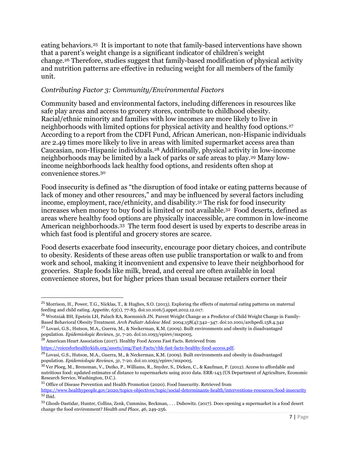eating behaviors.25 It is important to note that family-based interventions have shown that a parent's weight change is a significant indicator of children's weight change.<sup>26</sup> Therefore, studies suggest that family-based modification of physical activity and nutrition patterns are effective in reducing weight for all members of the family unit.

#### *Contributing Factor 3: Community/Environmental Factors*

Community based and environmental factors, including differences in resources like safe play areas and access to grocery stores, contribute to childhood obesity. Racial/ethnic minority and families with low incomes are more likely to live in neighborhoods with limited options for physical activity and healthy food options.<sup>27</sup> According to a report from the CDFI Fund, African American, non-Hispanic individuals are 2.49 times more likely to live in areas with limited supermarket access area than Caucasian, non-Hispanic individuals. <sup>28</sup> Additionally, physical activity in low-income neighborhoods may be limited by a lack of parks or safe areas to play.<sup>29</sup> Many lowincome neighborhoods lack healthy food options, and residents often shop at convenience stores.<sup>30</sup>

Food insecurity is defined as "the disruption of food intake or eating patterns because of lack of money and other resources," and may be influenced by several factors including income, employment, race/ethnicity, and disability.<sup>31</sup> The risk for food insecurity increases when money to buy food is limited or not available.32 Food deserts, defined as areas where healthy food options are physically inaccessible, are common in low-income American neighborhoods.<sup>33</sup> The term food desert is used by experts to describe areas in which fast food is plentiful and grocery stores are scarce.

Food deserts exacerbate food insecurity, encourage poor dietary choices, and contribute to obesity. Residents of these areas often use public transportation or walk to and from work and school, making it inconvenient and expensive to leave their neighborhood for groceries. Staple foods like milk, bread, and cereal are often available in local convenience stores, but for higher prices than usual because retailers corner their

population. *Epidemiologic Reviews, 31*, 7-20. doi:10.1093/epirev/mxp005.

<sup>28</sup> American Heart Association (2017). Healthy Food Access Fast Facts. Retrieved from

<sup>31</sup> Office of Disease Prevention and Health Promotion (2020). Food Insecurity. Retrieved from <https://www.healthypeople.gov/2020/topics-objectives/topic/social-determinants-health/interventions-resources/food-insecurity>  $32$  Ibid.

<sup>25</sup> Morrison, H., Power, T.G., Nicklas, T., & Hughes, S.O. (2013). Exploring the effects of maternal eating patterns on maternal feeding and child eating. *Appetite, 63*(1), 77-83. doi:10.1016/j.appet.2012.12.017.

<sup>&</sup>lt;sup>26</sup> Wrotniak BH, Epstein LH, Paluch RA, Roemmich JN. Parent Weight Change as a Predictor of Child Weight Change in Family-Based Behavioral Obesity Treatment. *Arch Pediatr Adolesc Med.* 2004;158(4):342–347. doi:10.1001/archpedi.158.4.342 <sup>27</sup> Lovasi, G.S., Hutson, M.A., Guerra, M., & Neckerman, K.M. (2009). Built environments and obesity in disadvantaged

<https://voicesforhealthykids.org/assets/img/Fast-Facts/vhk-fast-facts-healthy-food-access.pdf>.

<sup>&</sup>lt;sup>29</sup> Lovasi, G.S., Hutson, M.A., Guerra, M., & Neckerman, K.M. (2009). Built environments and obesity in disadvantaged population. *Epidemiologic Reviews, 31*, 7-20. doi:10.1093/epirev/mxp005.

<sup>30</sup> Ver Ploeg, M., Breneman, V., Dutko, P., Williams, R., Snyder, S., Dicken, C., & Kaufman, P. (2012). Access to affordable and nutritious food: updated estimates of distance to supermarkets using 2010 data. ERR-143 (US Department of Agriculture, Economic Research Service, Washington, D.C.).

<sup>33</sup> Ghosh-Dastidar, Hunter, Collins, Zenk, Cummins, Beckman, . . . Dubowitz. (2017). Does opening a supermarket in a food desert change the food environment? *Health and Place, 46*, 249-256.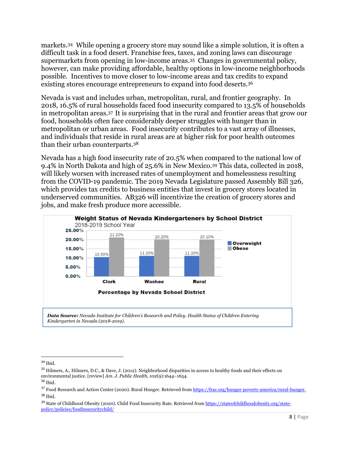markets.<sup>34</sup> While opening a grocery store may sound like a simple solution, it is often a difficult task in a food desert. Franchise fees, taxes, and zoning laws can discourage supermarkets from opening in low-income areas.<sup>35</sup> Changes in governmental policy, however, can make providing affordable, healthy options in low-income neighborhoods possible. Incentives to move closer to low-income areas and tax credits to expand existing stores encourage entrepreneurs to expand into food deserts.<sup>36</sup>

Nevada is vast and includes urban, metropolitan, rural, and frontier geography. In 2018*,* 16.5% of rural households faced food insecurity compared to 13.5% of households in metropolitan areas.37 It is surprising that in the rural and frontier areas that grow our food, households often face considerably deeper struggles with hunger than in metropolitan or urban areas.Food insecurity contributes to a vast array of illnesses, and individuals that reside in rural areas are at higher risk for poor health outcomes than their urban counterparts.<sup>38</sup>

Nevada has a high food insecurity rate of 20.5% when compared to the national low of 9.4% in North Dakota and high of 25.6% in New Mexico.<sup>39</sup> This data, collected in 2018, will likely worsen with increased rates of unemployment and homelessness resulting from the COVID-19 pandemic. The 2019 Nevada Legislature passed Assembly Bill 326, which provides tax credits to business entities that invest in grocery stores located in underserved communities. AB326 will incentivize the creation of grocery stores and jobs, and make fresh produce more accessible.



<sup>34</sup> Ibid.

<sup>&</sup>lt;sup>35</sup> Hilmers, A., Hilmers, D.C., & Dave, J. (2012). Neighborhood disparities in access to healthy foods and their effects on environmental justice. [review] *Am. J. Public Health, 102*(9):1644–1654.

<sup>36</sup> Ibid.

<sup>&</sup>lt;sup>37</sup> Food Research and Action Center (2020). Rural Hunger. Retrieved fro[m https://frac.org/hunger-poverty-america/rural-hunger.](https://frac.org/hunger-poverty-america/rural-hunger.)  $38$  Ibid.

<sup>&</sup>lt;sup>39</sup> State of Childhood Obesity (2020). Child Food Insecurity Rate. Retrieved fro[m https://stateofchildhoodobesity.org/state](https://stateofchildhoodobesity.org/state-policy/policies/foodinsecuritychild/)[policy/policies/foodinsecuritychild/](https://stateofchildhoodobesity.org/state-policy/policies/foodinsecuritychild/)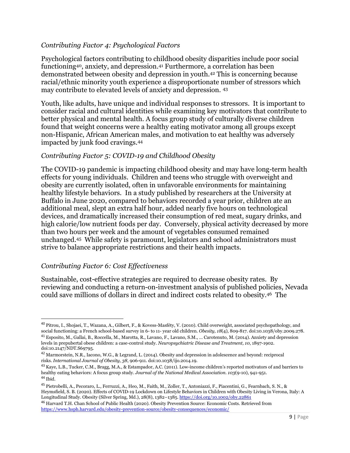#### *Contributing Factor 4: Psychological Factors*

Psychological factors contributing to childhood obesity disparities include poor social functioning40, anxiety, and depression.<sup>41</sup> Furthermore, a correlation has been demonstrated between obesity and depression in youth.<sup>42</sup> This is concerning because racial/ethnic minority youth experience a disproportionate number of stressors which may contribute to elevated levels of anxiety and depression. <sup>43</sup>

Youth, like adults, have unique and individual responses to stressors. It is important to consider racial and cultural identities while examining key motivators that contribute to better physical and mental health. A focus group study of culturally diverse children found that weight concerns were a healthy eating motivator among all groups except non-Hispanic, African American males, and motivation to eat healthy was adversely impacted by junk food cravings.<sup>44</sup>

#### *Contributing Factor 5: COVID-19 and Childhood Obesity*

The COVID-19 pandemic is impacting childhood obesity and may have long-term health effects for young individuals. Children and teens who struggle with overweight and obesity are currently isolated, often in unfavorable environments for maintaining healthy lifestyle behaviors. In a study published by researchers at the University at Buffalo in June 2020, compared to behaviors recorded a year prior, children ate an additional meal, slept an extra half hour, added nearly five hours on technological devices, and dramatically increased their consumption of red meat, sugary drinks, and high calorie/low nutrient foods per day. Conversely, physical activity decreased by more than two hours per week and the amount of vegetables consumed remained unchanged.45 While safety is paramount, legislators and school administrators must strive to balance appropriate restrictions and their health impacts.

#### *Contributing Factor 6: Cost Effectiveness*

Sustainable, cost-effective strategies are required to decrease obesity rates. By reviewing and conducting a return-on-investment analysis of published policies, Nevada could save millions of dollars in direct and indirect costs related to obesity.46 The

<sup>40</sup> Pitrou, I., Shojaei, T., Wazana, A., Gilbert, F., & Kovess-Masféty, V. (2010). Child overweight, associated psychopathology, and social functioning: a French school-based survey in 6- to 11- year old children. *Obesity, 18*(4), 809-817. doi:10.1038/oby.2009.278. <sup>41</sup> Esposito, M., Gallai, B., Roccella, M., Marotta, R., Lavano, F., Lavano, S.M., … Carotenuto, M. (2014). Anxiety and depression levels in prepubertal obese children: a case-control study. *Neuropsychiatric Disease and Treatment, 10*, 1897-1902. doi:10.2147/NDT.S69795.

<sup>&</sup>lt;sup>42</sup> Marmorstein, N.R., Iacono, W.G., & Legrand, L. (2014). Obesity and depression in adolescence and beyond: reciprocal risks. *International Journal of Obesity, 38*, 906-911. doi:10.1038/ijo.2014.19.

<sup>&</sup>lt;sup>43</sup> Kaye, L.B., Tucker, C.M., Bragg, M.A., & Estampador, A.C. (2011). Low-income children's reported motivators of and barriers to healthy eating behaviors: A focus group study. *Journal of the National Medical Association. 103*(9-10), 941-951.  $^{44}$  Ibid.

<sup>45</sup> Pietrobelli, A., Pecoraro, L., Ferruzzi, A., Heo, M., Faith, M., Zoller, T., Antoniazzi, F., Piacentini, G., Fearnbach, S. N., & Heymsfield, S. B. (2020). Effects of COVID-19 Lockdown on Lifestyle Behaviors in Children with Obesity Living in Verona, Italy: A Longitudinal Study. Obesity (Silver Spring, Md.), 28(8), 1382–1385. [https://doi.org/10.1002/oby.22861](https://www.google.com/url?q=https://doi.org/10.1002/oby.22861&sa=D&ust=1602695159575000&usg=AFQjCNHcZEm4Ck5PKuCLkPzMe0-y2jXLVQ)

<sup>46</sup> Harvard T.H. Chan School of Public Health (2020). Obesity Prevention Source: Economic Costs. Retrieved from <https://www.hsph.harvard.edu/obesity-prevention-source/obesity-consequences/economic/>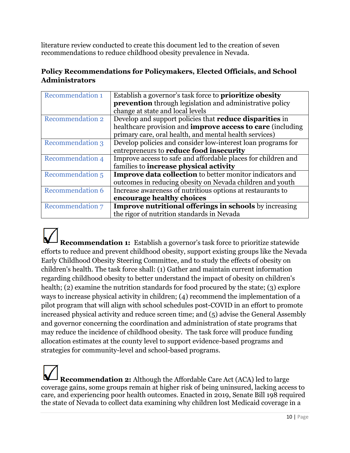literature review conducted to create this document led to the creation of seven recommendations to reduce childhood obesity prevalence in Nevada.

# **Policy Recommendations for Policymakers, Elected Officials, and School Administrators**

| <b>Recommendation 1</b> | Establish a governor's task force to <b>prioritize obesity</b>    |
|-------------------------|-------------------------------------------------------------------|
|                         | <b>prevention</b> through legislation and administrative policy   |
|                         | change at state and local levels                                  |
| <b>Recommendation 2</b> | Develop and support policies that <b>reduce disparities</b> in    |
|                         | healthcare provision and <b>improve access to care</b> (including |
|                         | primary care, oral health, and mental health services)            |
| Recommendation 3        | Develop policies and consider low-interest loan programs for      |
|                         | entrepreneurs to reduce food insecurity                           |
| Recommendation 4        | Improve access to safe and affordable places for children and     |
|                         | families to <b>increase</b> physical activity                     |
| Recommendation 5        | Improve data collection to better monitor indicators and          |
|                         | outcomes in reducing obesity on Nevada children and youth         |
| <b>Recommendation 6</b> | Increase awareness of nutritious options at restaurants to        |
|                         | encourage healthy choices                                         |
| <b>Recommendation 7</b> | <b>Improve nutritional offerings in schools</b> by increasing     |
|                         | the rigor of nutrition standards in Nevada                        |
|                         |                                                                   |

**Recommendation 1:** Establish a governor's task force to prioritize statewide efforts to reduce and prevent childhood obesity, support existing groups like the Nevada Early Childhood Obesity Steering Committee, and to study the effects of obesity on children's health. The task force shall: (1) Gather and maintain current information regarding childhood obesity to better understand the impact of obesity on children's health; (2) examine the nutrition standards for food procured by the state; (3) explore ways to increase physical activity in children; (4) recommend the implementation of a pilot program that will align with school schedules post-COVID in an effort to promote increased physical activity and reduce screen time; and (5) advise the General Assembly and governor concerning the coordination and administration of state programs that may reduce the incidence of childhood obesity. The task force will produce funding allocation estimates at the county level to support evidence-based programs and strategies for community-level and school-based programs.

**Recommendation 2:** Although the Affordable Care Act (ACA) led to large coverage gains, some groups remain at higher risk of being uninsured, lacking access to care, and experiencing poor health outcomes. Enacted in 2019, Senate Bill 198 required the state of Nevada to collect data examining why children lost Medicaid coverage in a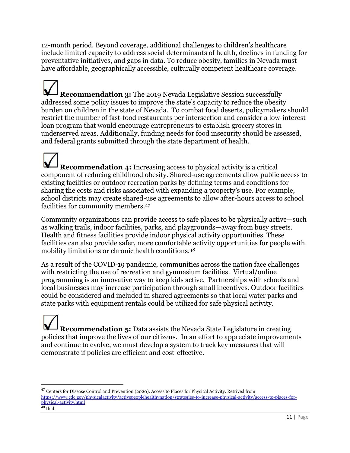12-month period. Beyond coverage, additional challenges to children's healthcare include limited capacity to address social determinants of health, declines in funding for preventative initiatives, and gaps in data. To reduce obesity, families in Nevada must have affordable, geographically accessible, culturally competent healthcare coverage.

**Recommendation 3:** The 2019 Nevada Legislative Session successfully addressed some policy issues to improve the state's capacity to reduce the obesity burden on children in the state of Nevada. To combat food deserts, policymakers should restrict the number of fast-food restaurants per intersection and consider a low-interest loan program that would encourage entrepreneurs to establish grocery stores in underserved areas. Additionally, funding needs for food insecurity should be assessed, and federal grants submitted through the state department of health.

**Recommendation 4:** Increasing access to physical activity is a critical component of reducing childhood obesity. Shared-use agreements allow public access to existing facilities or outdoor recreation parks by defining terms and conditions for sharing the costs and risks associated with expanding a property's use. For example, school districts may create shared-use agreements to allow after-hours access to school facilities for community members.<sup>47</sup>

Community organizations can provide access to safe places to be physically active—such as walking trails, indoor facilities, parks, and playgrounds—away from busy streets. Health and fitness facilities provide indoor physical activity opportunities. These facilities can also provide safer, more comfortable activity opportunities for people with mobility limitations or chronic health conditions.<sup>48</sup>

As a result of the COVID-19 pandemic, communities across the nation face challenges with restricting the use of recreation and gymnasium facilities. Virtual/online programming is an innovative way to keep kids active. Partnerships with schools and local businesses may increase participation through small incentives. Outdoor facilities could be considered and included in shared agreements so that local water parks and state parks with equipment rentals could be utilized for safe physical activity.

**Recommendation 5:** Data assists the Nevada State Legislature in creating policies that improve the lives of our citizens. In an effort to appreciate improvements and continue to evolve, we must develop a system to track key measures that will demonstrate if policies are efficient and cost-effective.

<sup>47</sup> Centers for Disease Control and Prevention (2020). Access to Places for Physical Activity. Retrived from [https://www.cdc.gov/physicalactivity/activepeoplehealthynation/strategies-to-increase-physical-activity/access-to-places-for](https://www.cdc.gov/physicalactivity/activepeoplehealthynation/strategies-to-increase-physical-activity/access-to-places-for-physical-activity.html)[physical-activity.html](https://www.cdc.gov/physicalactivity/activepeoplehealthynation/strategies-to-increase-physical-activity/access-to-places-for-physical-activity.html) <sup>48</sup> Ibid.